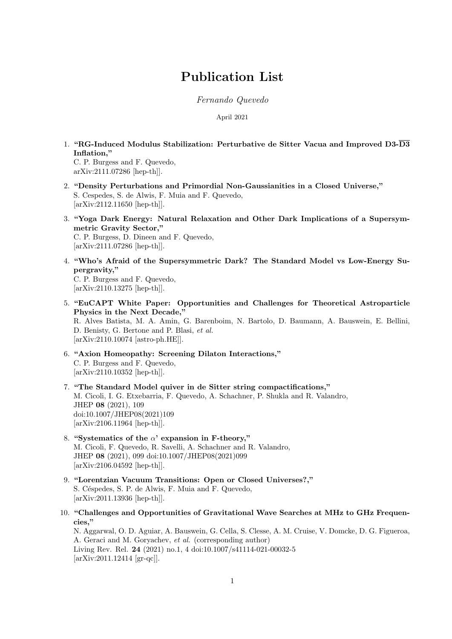# Publication List

Fernando Quevedo

April 2021

- 1. "RG-Induced Modulus Stabilization: Perturbative de Sitter Vacua and Improved D3- $\overline{\mathrm{D3}}$ Inflation," C. P. Burgess and F. Quevedo, arXiv:2111.07286 [hep-th]].
- 2. "Density Perturbations and Primordial Non-Gaussianities in a Closed Universe," S. Cespedes, S. de Alwis, F. Muia and F. Quevedo, [arXiv:2112.11650 [hep-th]].
- 3. "Yoga Dark Energy: Natural Relaxation and Other Dark Implications of a Supersymmetric Gravity Sector," C. P. Burgess, D. Dineen and F. Quevedo, [arXiv:2111.07286 [hep-th]].
- 4. "Who's Afraid of the Supersymmetric Dark? The Standard Model vs Low-Energy Supergravity," C. P. Burgess and F. Quevedo, [arXiv:2110.13275 [hep-th]].
- 5. "EuCAPT White Paper: Opportunities and Challenges for Theoretical Astroparticle Physics in the Next Decade," R. Alves Batista, M. A. Amin, G. Barenboim, N. Bartolo, D. Baumann, A. Bauswein, E. Bellini, D. Benisty, G. Bertone and P. Blasi, et al. [arXiv:2110.10074 [astro-ph.HE]].
- 6. "Axion Homeopathy: Screening Dilaton Interactions," C. P. Burgess and F. Quevedo, [arXiv:2110.10352 [hep-th]].
- 7. "The Standard Model quiver in de Sitter string compactifications," M. Cicoli, I. G. Etxebarria, F. Quevedo, A. Schachner, P. Shukla and R. Valandro, JHEP 08 (2021), 109 doi:10.1007/JHEP08(2021)109 [arXiv:2106.11964 [hep-th]].
- 8. "Systematics of the  $\alpha$ ' expansion in F-theory," M. Cicoli, F. Quevedo, R. Savelli, A. Schachner and R. Valandro, JHEP 08 (2021), 099 doi:10.1007/JHEP08(2021)099 [arXiv:2106.04592 [hep-th]].
- 9. "Lorentzian Vacuum Transitions: Open or Closed Universes?," S. Céspedes, S. P. de Alwis, F. Muia and F. Quevedo, [arXiv:2011.13936 [hep-th]].
- 10. "Challenges and Opportunities of Gravitational Wave Searches at MHz to GHz Frequencies," N. Aggarwal, O. D. Aguiar, A. Bauswein, G. Cella, S. Clesse, A. M. Cruise, V. Domcke, D. G. Figueroa, A. Geraci and M. Goryachev, et al. (corresponding author) Living Rev. Rel. 24 (2021) no.1, 4 doi:10.1007/s41114-021-00032-5 [arXiv:2011.12414 [gr-qc]].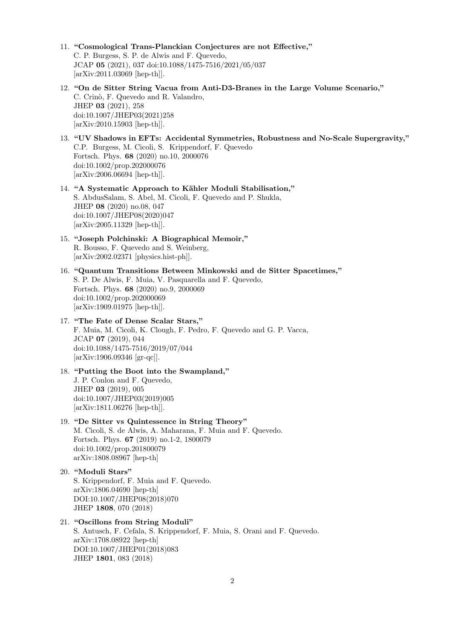- 11. "Cosmological Trans-Planckian Conjectures are not Effective," C. P. Burgess, S. P. de Alwis and F. Quevedo, JCAP 05 (2021), 037 doi:10.1088/1475-7516/2021/05/037 [arXiv:2011.03069 [hep-th]].
- 12. "On de Sitter String Vacua from Anti-D3-Branes in the Large Volume Scenario," C. Crinò, F. Quevedo and R. Valandro, JHEP 03 (2021), 258 doi:10.1007/JHEP03(2021)258 [arXiv:2010.15903 [hep-th]].
- 13. "UV Shadows in EFTs: Accidental Symmetries, Robustness and No-Scale Supergravity," C.P. Burgess, M. Cicoli, S. Krippendorf, F. Quevedo Fortsch. Phys. 68 (2020) no.10, 2000076 doi:10.1002/prop.202000076 [arXiv:2006.06694 [hep-th]].
- 14. "A Systematic Approach to Kähler Moduli Stabilisation," S. AbdusSalam, S. Abel, M. Cicoli, F. Quevedo and P. Shukla, JHEP 08 (2020) no.08, 047 doi:10.1007/JHEP08(2020)047 [arXiv:2005.11329 [hep-th]].
- 15. "Joseph Polchinski: A Biographical Memoir," R. Bousso, F. Quevedo and S. Weinberg, [arXiv:2002.02371 [physics.hist-ph]].
- 16. "Quantum Transitions Between Minkowski and de Sitter Spacetimes," S. P. De Alwis, F. Muia, V. Pasquarella and F. Quevedo, Fortsch. Phys. 68 (2020) no.9, 2000069 doi:10.1002/prop.202000069 [arXiv:1909.01975 [hep-th]].
- 17. "The Fate of Dense Scalar Stars," F. Muia, M. Cicoli, K. Clough, F. Pedro, F. Quevedo and G. P. Vacca, JCAP 07 (2019), 044 doi:10.1088/1475-7516/2019/07/044 [arXiv:1906.09346 [gr-qc]].
- 18. "Putting the Boot into the Swampland," J. P. Conlon and F. Quevedo, JHEP 03 (2019), 005 doi:10.1007/JHEP03(2019)005 [arXiv:1811.06276 [hep-th]].
- 19. "De Sitter vs Quintessence in String Theory" M. Cicoli, S. de Alwis, A. Maharana, F. Muia and F. Quevedo. Fortsch. Phys. 67 (2019) no.1-2, 1800079 doi:10.1002/prop.201800079 arXiv:1808.08967 [hep-th]
- 20. "Moduli Stars" S. Krippendorf, F. Muia and F. Quevedo. arXiv:1806.04690 [hep-th] DOI:10.1007/JHEP08(2018)070 JHEP 1808, 070 (2018)
- 21. "Oscillons from String Moduli" S. Antusch, F. Cefala, S. Krippendorf, F. Muia, S. Orani and F. Quevedo. arXiv:1708.08922 [hep-th] DOI:10.1007/JHEP01(2018)083 JHEP 1801, 083 (2018)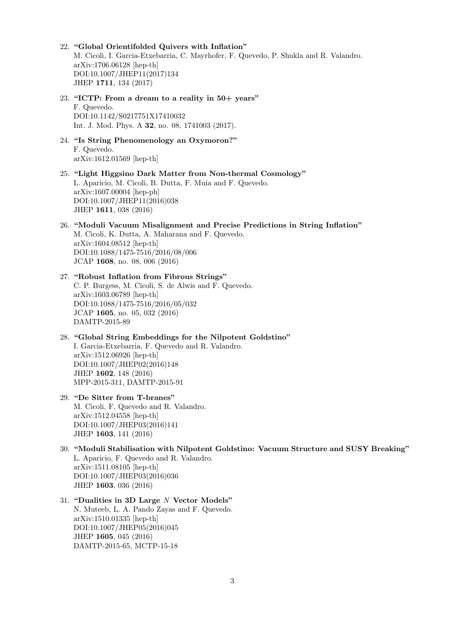- 22. "Global Orientifolded Quivers with Inflation" M. Cicoli, I. Garcia-Etxebarria, C. Mayrhofer, F. Quevedo, P. Shukla and R. Valandro. arXiv:1706.06128 [hep-th] DOI:10.1007/JHEP11(2017)134 JHEP 1711, 134 (2017)
- 23. "ICTP: From a dream to a reality in  $50+$  years" F. Quevedo. DOI:10.1142/S0217751X17410032 Int. J. Mod. Phys. A 32, no. 08, 1741003 (2017).
- 24. "Is String Phenomenology an Oxymoron?" F. Quevedo. arXiv:1612.01569 [hep-th]
- 25. "Light Higgsino Dark Matter from Non-thermal Cosmology" L. Aparicio, M. Cicoli, B. Dutta, F. Muia and F. Quevedo. arXiv:1607.00004 [hep-ph] DOI:10.1007/JHEP11(2016)038 JHEP 1611, 038 (2016)
- 26. "Moduli Vacuum Misalignment and Precise Predictions in String Inflation" M. Cicoli, K. Dutta, A. Maharana and F. Quevedo. arXiv:1604.08512 [hep-th] DOI:10.1088/1475-7516/2016/08/006 JCAP 1608, no. 08, 006 (2016)
- 27. "Robust Inflation from Fibrous Strings" C. P. Burgess, M. Cicoli, S. de Alwis and F. Quevedo. arXiv:1603.06789 [hep-th] DOI:10.1088/1475-7516/2016/05/032 JCAP 1605, no. 05, 032 (2016) DAMTP-2015-89
- 28. "Global String Embeddings for the Nilpotent Goldstino" I. Garcia-Etxebarria, F. Quevedo and R. Valandro. arXiv:1512.06926 [hep-th] DOI:10.1007/JHEP02(2016)148 JHEP 1602, 148 (2016) MPP-2015-311, DAMTP-2015-91
- 29. "De Sitter from T-branes" M. Cicoli, F. Quevedo and R. Valandro. arXiv:1512.04558 [hep-th] DOI:10.1007/JHEP03(2016)141 JHEP 1603, 141 (2016)
- 30. "Moduli Stabilisation with Nilpotent Goldstino: Vacuum Structure and SUSY Breaking" L. Aparicio, F. Quevedo and R. Valandro. arXiv:1511.08105 [hep-th] DOI:10.1007/JHEP03(2016)036 JHEP 1603, 036 (2016)
- 31. "Dualities in 3D Large N Vector Models" N. Muteeb, L. A. Pando Zayas and F. Quevedo. arXiv:1510.01335 [hep-th] DOI:10.1007/JHEP05(2016)045 JHEP 1605, 045 (2016) DAMTP-2015-65, MCTP-15-18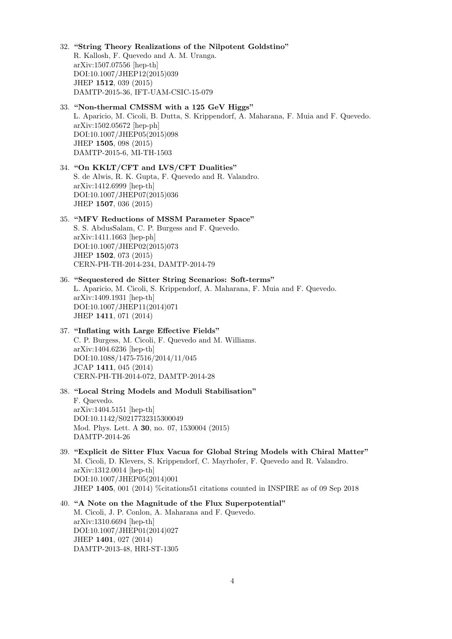## 32. "String Theory Realizations of the Nilpotent Goldstino" R. Kallosh, F. Quevedo and A. M. Uranga.

arXiv:1507.07556 [hep-th] DOI:10.1007/JHEP12(2015)039 JHEP 1512, 039 (2015) DAMTP-2015-36, IFT-UAM-CSIC-15-079

## 33. "Non-thermal CMSSM with a 125 GeV Higgs"

L. Aparicio, M. Cicoli, B. Dutta, S. Krippendorf, A. Maharana, F. Muia and F. Quevedo. arXiv:1502.05672 [hep-ph] DOI:10.1007/JHEP05(2015)098 JHEP 1505, 098 (2015) DAMTP-2015-6, MI-TH-1503

## 34. "On KKLT/CFT and LVS/CFT Dualities" S. de Alwis, R. K. Gupta, F. Quevedo and R. Valandro. arXiv:1412.6999 [hep-th] DOI:10.1007/JHEP07(2015)036 JHEP 1507, 036 (2015)

## 35. "MFV Reductions of MSSM Parameter Space" S. S. AbdusSalam, C. P. Burgess and F. Quevedo. arXiv:1411.1663 [hep-ph] DOI:10.1007/JHEP02(2015)073 JHEP 1502, 073 (2015) CERN-PH-TH-2014-234, DAMTP-2014-79

## 36. "Sequestered de Sitter String Scenarios: Soft-terms" L. Aparicio, M. Cicoli, S. Krippendorf, A. Maharana, F. Muia and F. Quevedo. arXiv:1409.1931 [hep-th] DOI:10.1007/JHEP11(2014)071 JHEP 1411, 071 (2014)

## 37. "Inflating with Large Effective Fields" C. P. Burgess, M. Cicoli, F. Quevedo and M. Williams. arXiv:1404.6236 [hep-th] DOI:10.1088/1475-7516/2014/11/045 JCAP 1411, 045 (2014) CERN-PH-TH-2014-072, DAMTP-2014-28

## 38. "Local String Models and Moduli Stabilisation" F. Quevedo. arXiv:1404.5151 [hep-th] DOI:10.1142/S0217732315300049 Mod. Phys. Lett. A 30, no. 07, 1530004 (2015)

DAMTP-2014-26

- 39. "Explicit de Sitter Flux Vacua for Global String Models with Chiral Matter" M. Cicoli, D. Klevers, S. Krippendorf, C. Mayrhofer, F. Quevedo and R. Valandro. arXiv:1312.0014 [hep-th] DOI:10.1007/JHEP05(2014)001 JHEP 1405, 001 (2014) %citations51 citations counted in INSPIRE as of 09 Sep 2018
- 40. "A Note on the Magnitude of the Flux Superpotential" M. Cicoli, J. P. Conlon, A. Maharana and F. Quevedo. arXiv:1310.6694 [hep-th] DOI:10.1007/JHEP01(2014)027 JHEP 1401, 027 (2014) DAMTP-2013-48, HRI-ST-1305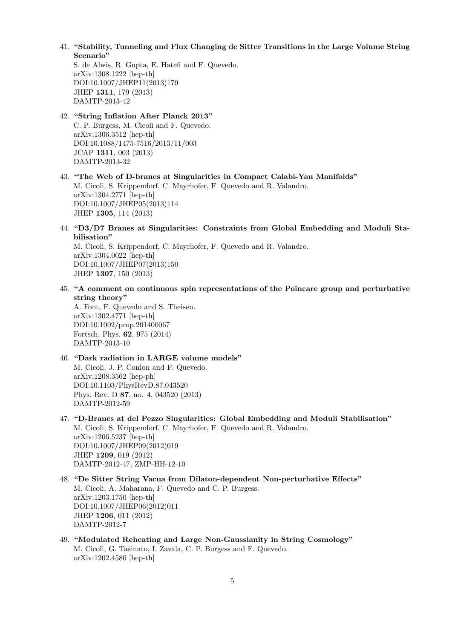41. "Stability, Tunneling and Flux Changing de Sitter Transitions in the Large Volume String Scenario"

S. de Alwis, R. Gupta, E. Hatefi and F. Quevedo. arXiv:1308.1222 [hep-th] DOI:10.1007/JHEP11(2013)179 JHEP 1311, 179 (2013) DAMTP-2013-42

42. "String Inflation After Planck 2013" C. P. Burgess, M. Cicoli and F. Quevedo. arXiv:1306.3512 [hep-th] DOI:10.1088/1475-7516/2013/11/003 JCAP 1311, 003 (2013) DAMTP-2013-32

- 43. "The Web of D-branes at Singularities in Compact Calabi-Yau Manifolds" M. Cicoli, S. Krippendorf, C. Mayrhofer, F. Quevedo and R. Valandro. arXiv:1304.2771 [hep-th] DOI:10.1007/JHEP05(2013)114 JHEP 1305, 114 (2013)
- 44. "D3/D7 Branes at Singularities: Constraints from Global Embedding and Moduli Stabilisation"

M. Cicoli, S. Krippendorf, C. Mayrhofer, F. Quevedo and R. Valandro. arXiv:1304.0022 [hep-th] DOI:10.1007/JHEP07(2013)150 JHEP 1307, 150 (2013)

45. "A comment on continuous spin representations of the Poincare group and perturbative string theory"

A. Font, F. Quevedo and S. Theisen. arXiv:1302.4771 [hep-th] DOI:10.1002/prop.201400067 Fortsch. Phys. 62, 975 (2014) DAMTP-2013-10

46. "Dark radiation in LARGE volume models" M. Cicoli, J. P. Conlon and F. Quevedo. arXiv:1208.3562 [hep-ph] DOI:10.1103/PhysRevD.87.043520 Phys. Rev. D 87, no. 4, 043520 (2013) DAMTP-2012-59

- 47. "D-Branes at del Pezzo Singularities: Global Embedding and Moduli Stabilisation" M. Cicoli, S. Krippendorf, C. Mayrhofer, F. Quevedo and R. Valandro. arXiv:1206.5237 [hep-th] DOI:10.1007/JHEP09(2012)019 JHEP 1209, 019 (2012) DAMTP-2012-47, ZMP-HH-12-10
- 48. "De Sitter String Vacua from Dilaton-dependent Non-perturbative Effects" M. Cicoli, A. Maharana, F. Quevedo and C. P. Burgess. arXiv:1203.1750 [hep-th] DOI:10.1007/JHEP06(2012)011 JHEP 1206, 011 (2012) DAMTP-2012-7
- 49. "Modulated Reheating and Large Non-Gaussianity in String Cosmology" M. Cicoli, G. Tasinato, I. Zavala, C. P. Burgess and F. Quevedo. arXiv:1202.4580 [hep-th]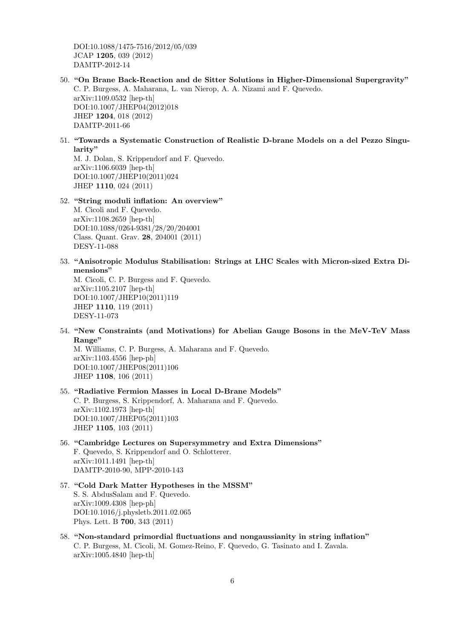DOI:10.1088/1475-7516/2012/05/039 JCAP 1205, 039 (2012) DAMTP-2012-14

- 50. "On Brane Back-Reaction and de Sitter Solutions in Higher-Dimensional Supergravity" C. P. Burgess, A. Maharana, L. van Nierop, A. A. Nizami and F. Quevedo. arXiv:1109.0532 [hep-th] DOI:10.1007/JHEP04(2012)018 JHEP 1204, 018 (2012) DAMTP-2011-66
- 51. "Towards a Systematic Construction of Realistic D-brane Models on a del Pezzo Singularity"

M. J. Dolan, S. Krippendorf and F. Quevedo. arXiv:1106.6039 [hep-th] DOI:10.1007/JHEP10(2011)024 JHEP 1110, 024 (2011)

52. "String moduli inflation: An overview"

M. Cicoli and F. Quevedo. arXiv:1108.2659 [hep-th] DOI:10.1088/0264-9381/28/20/204001 Class. Quant. Grav. 28, 204001 (2011) DESY-11-088

53. "Anisotropic Modulus Stabilisation: Strings at LHC Scales with Micron-sized Extra Dimensions"

M. Cicoli, C. P. Burgess and F. Quevedo. arXiv:1105.2107 [hep-th] DOI:10.1007/JHEP10(2011)119 JHEP 1110, 119 (2011) DESY-11-073

54. "New Constraints (and Motivations) for Abelian Gauge Bosons in the MeV-TeV Mass Range"

M. Williams, C. P. Burgess, A. Maharana and F. Quevedo. arXiv:1103.4556 [hep-ph] DOI:10.1007/JHEP08(2011)106 JHEP 1108, 106 (2011)

- 55. "Radiative Fermion Masses in Local D-Brane Models" C. P. Burgess, S. Krippendorf, A. Maharana and F. Quevedo. arXiv:1102.1973 [hep-th] DOI:10.1007/JHEP05(2011)103 JHEP 1105, 103 (2011)
- 56. "Cambridge Lectures on Supersymmetry and Extra Dimensions" F. Quevedo, S. Krippendorf and O. Schlotterer. arXiv:1011.1491 [hep-th] DAMTP-2010-90, MPP-2010-143
- 57. "Cold Dark Matter Hypotheses in the MSSM" S. S. AbdusSalam and F. Quevedo. arXiv:1009.4308 [hep-ph] DOI:10.1016/j.physletb.2011.02.065 Phys. Lett. B 700, 343 (2011)
- 58. "Non-standard primordial fluctuations and nongaussianity in string inflation" C. P. Burgess, M. Cicoli, M. Gomez-Reino, F. Quevedo, G. Tasinato and I. Zavala. arXiv:1005.4840 [hep-th]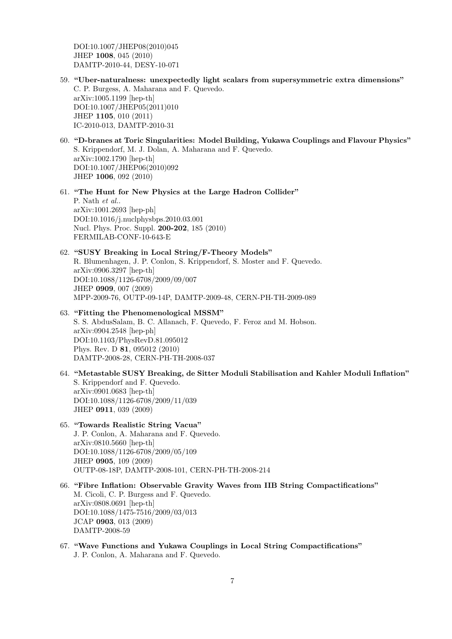DOI:10.1007/JHEP08(2010)045 JHEP 1008, 045 (2010) DAMTP-2010-44, DESY-10-071

- 59. "Uber-naturalness: unexpectedly light scalars from supersymmetric extra dimensions" C. P. Burgess, A. Maharana and F. Quevedo. arXiv:1005.1199 [hep-th] DOI:10.1007/JHEP05(2011)010 JHEP 1105, 010 (2011) IC-2010-013, DAMTP-2010-31
- 60. "D-branes at Toric Singularities: Model Building, Yukawa Couplings and Flavour Physics" S. Krippendorf, M. J. Dolan, A. Maharana and F. Quevedo. arXiv:1002.1790 [hep-th] DOI:10.1007/JHEP06(2010)092 JHEP 1006, 092 (2010)

61. "The Hunt for New Physics at the Large Hadron Collider" P. Nath et al.. arXiv:1001.2693 [hep-ph] DOI:10.1016/j.nuclphysbps.2010.03.001 Nucl. Phys. Proc. Suppl. 200-202, 185 (2010) FERMILAB-CONF-10-643-E

62. "SUSY Breaking in Local String/F-Theory Models" R. Blumenhagen, J. P. Conlon, S. Krippendorf, S. Moster and F. Quevedo. arXiv:0906.3297 [hep-th] DOI:10.1088/1126-6708/2009/09/007 JHEP 0909, 007 (2009) MPP-2009-76, OUTP-09-14P, DAMTP-2009-48, CERN-PH-TH-2009-089

## 63. "Fitting the Phenomenological MSSM"

S. S. AbdusSalam, B. C. Allanach, F. Quevedo, F. Feroz and M. Hobson. arXiv:0904.2548 [hep-ph] DOI:10.1103/PhysRevD.81.095012 Phys. Rev. D 81, 095012 (2010) DAMTP-2008-28, CERN-PH-TH-2008-037

- 64. "Metastable SUSY Breaking, de Sitter Moduli Stabilisation and Kahler Moduli Inflation" S. Krippendorf and F. Quevedo. arXiv:0901.0683 [hep-th] DOI:10.1088/1126-6708/2009/11/039 JHEP 0911, 039 (2009)
- 65. "Towards Realistic String Vacua" J. P. Conlon, A. Maharana and F. Quevedo. arXiv:0810.5660 [hep-th] DOI:10.1088/1126-6708/2009/05/109 JHEP 0905, 109 (2009) OUTP-08-18P, DAMTP-2008-101, CERN-PH-TH-2008-214
- 66. "Fibre Inflation: Observable Gravity Waves from IIB String Compactifications" M. Cicoli, C. P. Burgess and F. Quevedo. arXiv:0808.0691 [hep-th] DOI:10.1088/1475-7516/2009/03/013 JCAP 0903, 013 (2009) DAMTP-2008-59
- 67. "Wave Functions and Yukawa Couplings in Local String Compactifications" J. P. Conlon, A. Maharana and F. Quevedo.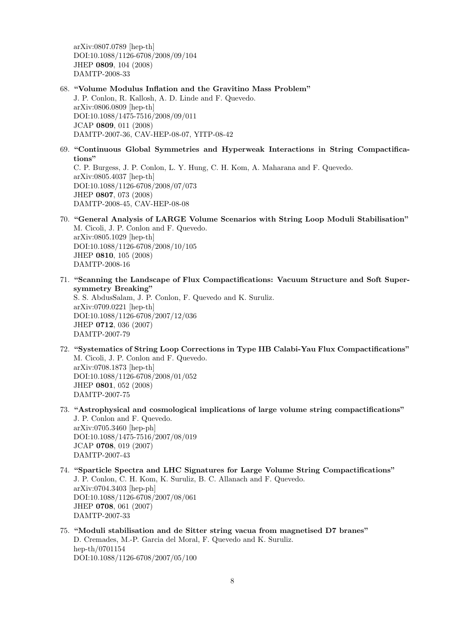arXiv:0807.0789 [hep-th] DOI:10.1088/1126-6708/2008/09/104 JHEP 0809, 104 (2008) DAMTP-2008-33

68. "Volume Modulus Inflation and the Gravitino Mass Problem"

J. P. Conlon, R. Kallosh, A. D. Linde and F. Quevedo. arXiv:0806.0809 [hep-th] DOI:10.1088/1475-7516/2008/09/011 JCAP 0809, 011 (2008) DAMTP-2007-36, CAV-HEP-08-07, YITP-08-42

- 69. "Continuous Global Symmetries and Hyperweak Interactions in String Compactifications" C. P. Burgess, J. P. Conlon, L. Y. Hung, C. H. Kom, A. Maharana and F. Quevedo. arXiv:0805.4037 [hep-th] DOI:10.1088/1126-6708/2008/07/073 JHEP 0807, 073 (2008) DAMTP-2008-45, CAV-HEP-08-08
- 70. "General Analysis of LARGE Volume Scenarios with String Loop Moduli Stabilisation" M. Cicoli, J. P. Conlon and F. Quevedo. arXiv:0805.1029 [hep-th] DOI:10.1088/1126-6708/2008/10/105 JHEP 0810, 105 (2008) DAMTP-2008-16
- 71. "Scanning the Landscape of Flux Compactifications: Vacuum Structure and Soft Supersymmetry Breaking"

S. S. AbdusSalam, J. P. Conlon, F. Quevedo and K. Suruliz. arXiv:0709.0221 [hep-th] DOI:10.1088/1126-6708/2007/12/036 JHEP 0712, 036 (2007) DAMTP-2007-79

- 72. "Systematics of String Loop Corrections in Type IIB Calabi-Yau Flux Compactifications" M. Cicoli, J. P. Conlon and F. Quevedo. arXiv:0708.1873 [hep-th] DOI:10.1088/1126-6708/2008/01/052 JHEP 0801, 052 (2008) DAMTP-2007-75
- 73. "Astrophysical and cosmological implications of large volume string compactifications" J. P. Conlon and F. Quevedo. arXiv:0705.3460 [hep-ph] DOI:10.1088/1475-7516/2007/08/019 JCAP 0708, 019 (2007) DAMTP-2007-43
- 74. "Sparticle Spectra and LHC Signatures for Large Volume String Compactifications" J. P. Conlon, C. H. Kom, K. Suruliz, B. C. Allanach and F. Quevedo. arXiv:0704.3403 [hep-ph] DOI:10.1088/1126-6708/2007/08/061 JHEP 0708, 061 (2007) DAMTP-2007-33
- 75. "Moduli stabilisation and de Sitter string vacua from magnetised D7 branes" D. Cremades, M.-P. Garcia del Moral, F. Quevedo and K. Suruliz. hep-th/0701154 DOI:10.1088/1126-6708/2007/05/100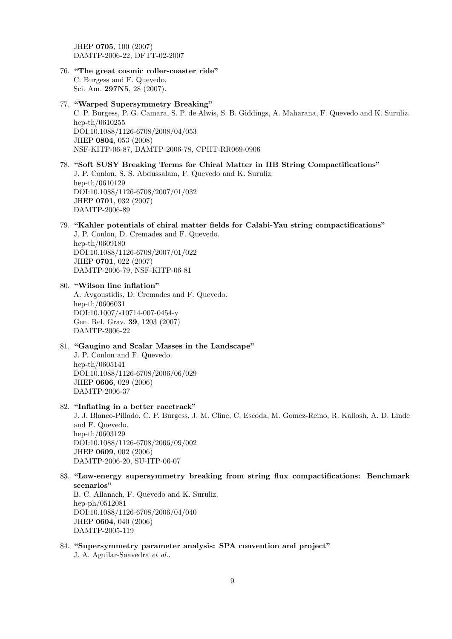JHEP 0705, 100 (2007) DAMTP-2006-22, DFTT-02-2007

76. "The great cosmic roller-coaster ride"

C. Burgess and F. Quevedo. Sci. Am. 297N5, 28 (2007).

- 77. "Warped Supersymmetry Breaking" C. P. Burgess, P. G. Camara, S. P. de Alwis, S. B. Giddings, A. Maharana, F. Quevedo and K. Suruliz. hep-th/0610255 DOI:10.1088/1126-6708/2008/04/053 JHEP 0804, 053 (2008) NSF-KITP-06-87, DAMTP-2006-78, CPHT-RR069-0906
- 78. "Soft SUSY Breaking Terms for Chiral Matter in IIB String Compactifications" J. P. Conlon, S. S. Abdussalam, F. Quevedo and K. Suruliz. hep-th/0610129 DOI:10.1088/1126-6708/2007/01/032 JHEP 0701, 032 (2007) DAMTP-2006-89

## 79. "Kahler potentials of chiral matter fields for Calabi-Yau string compactifications"

J. P. Conlon, D. Cremades and F. Quevedo. hep-th/0609180 DOI:10.1088/1126-6708/2007/01/022 JHEP 0701, 022 (2007) DAMTP-2006-79, NSF-KITP-06-81

80. "Wilson line inflation" A. Avgoustidis, D. Cremades and F. Quevedo. hep-th/0606031 DOI:10.1007/s10714-007-0454-y Gen. Rel. Grav. 39, 1203 (2007) DAMTP-2006-22

81. "Gaugino and Scalar Masses in the Landscape" J. P. Conlon and F. Quevedo. hep-th/0605141 DOI:10.1088/1126-6708/2006/06/029 JHEP 0606, 029 (2006) DAMTP-2006-37

### 82. "Inflating in a better racetrack"

J. J. Blanco-Pillado, C. P. Burgess, J. M. Cline, C. Escoda, M. Gomez-Reino, R. Kallosh, A. D. Linde and F. Quevedo. hep-th/0603129 DOI:10.1088/1126-6708/2006/09/002 JHEP 0609, 002 (2006) DAMTP-2006-20, SU-ITP-06-07

### 83. "Low-energy supersymmetry breaking from string flux compactifications: Benchmark scenarios"

B. C. Allanach, F. Quevedo and K. Suruliz. hep-ph/0512081 DOI:10.1088/1126-6708/2006/04/040 JHEP 0604, 040 (2006) DAMTP-2005-119

## 84. "Supersymmetry parameter analysis: SPA convention and project"

J. A. Aguilar-Saavedra et al..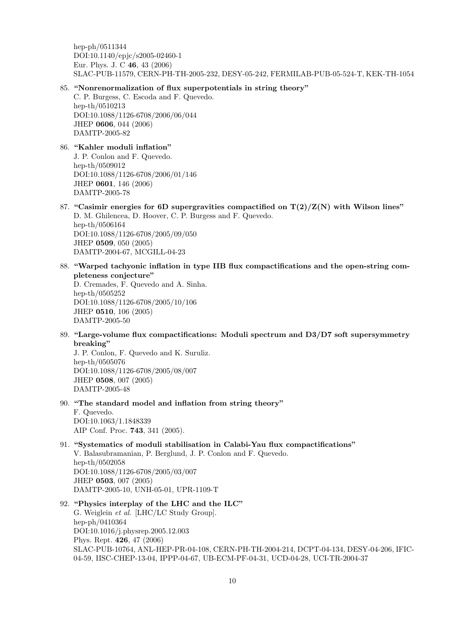hep-ph/0511344 DOI:10.1140/epjc/s2005-02460-1 Eur. Phys. J. C 46, 43 (2006) SLAC-PUB-11579, CERN-PH-TH-2005-232, DESY-05-242, FERMILAB-PUB-05-524-T, KEK-TH-1054

#### 85. "Nonrenormalization of flux superpotentials in string theory"

C. P. Burgess, C. Escoda and F. Quevedo. hep-th/0510213 DOI:10.1088/1126-6708/2006/06/044 JHEP 0606, 044 (2006) DAMTP-2005-82

86. "Kahler moduli inflation" J. P. Conlon and F. Quevedo. hep-th/0509012 DOI:10.1088/1126-6708/2006/01/146 JHEP 0601, 146 (2006) DAMTP-2005-78

- 87. "Casimir energies for 6D supergravities compactified on  $T(2)/Z(N)$  with Wilson lines" D. M. Ghilencea, D. Hoover, C. P. Burgess and F. Quevedo. hep-th/0506164 DOI:10.1088/1126-6708/2005/09/050 JHEP 0509, 050 (2005) DAMTP-2004-67, MCGILL-04-23
- 88. "Warped tachyonic inflation in type IIB flux compactifications and the open-string completeness conjecture"

D. Cremades, F. Quevedo and A. Sinha. hep-th/0505252 DOI:10.1088/1126-6708/2005/10/106 JHEP 0510, 106 (2005) DAMTP-2005-50

89. "Large-volume flux compactifications: Moduli spectrum and D3/D7 soft supersymmetry breaking"

J. P. Conlon, F. Quevedo and K. Suruliz. hep-th/0505076 DOI:10.1088/1126-6708/2005/08/007 JHEP 0508, 007 (2005) DAMTP-2005-48

- 90. "The standard model and inflation from string theory" F. Quevedo. DOI:10.1063/1.1848339 AIP Conf. Proc. 743, 341 (2005).
- 91. "Systematics of moduli stabilisation in Calabi-Yau flux compactifications" V. Balasubramanian, P. Berglund, J. P. Conlon and F. Quevedo. hep-th/0502058 DOI:10.1088/1126-6708/2005/03/007 JHEP 0503, 007 (2005) DAMTP-2005-10, UNH-05-01, UPR-1109-T
- 92. "Physics interplay of the LHC and the ILC" G. Weiglein et al. [LHC/LC Study Group]. hep-ph/0410364 DOI:10.1016/j.physrep.2005.12.003 Phys. Rept. 426, 47 (2006) SLAC-PUB-10764, ANL-HEP-PR-04-108, CERN-PH-TH-2004-214, DCPT-04-134, DESY-04-206, IFIC-04-59, IISC-CHEP-13-04, IPPP-04-67, UB-ECM-PF-04-31, UCD-04-28, UCI-TR-2004-37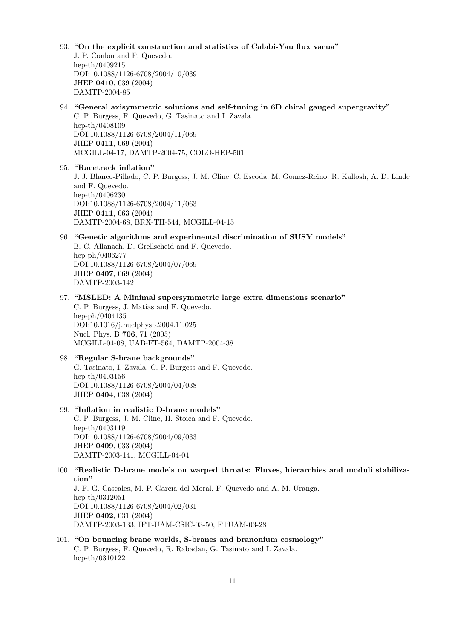## 93. "On the explicit construction and statistics of Calabi-Yau flux vacua" J. P. Conlon and F. Quevedo. hep-th/0409215 DOI:10.1088/1126-6708/2004/10/039 JHEP 0410, 039 (2004) DAMTP-2004-85 94. "General axisymmetric solutions and self-tuning in 6D chiral gauged supergravity" C. P. Burgess, F. Quevedo, G. Tasinato and I. Zavala. hep-th/0408109 DOI:10.1088/1126-6708/2004/11/069 JHEP 0411, 069 (2004) MCGILL-04-17, DAMTP-2004-75, COLO-HEP-501 95. "Racetrack inflation" J. J. Blanco-Pillado, C. P. Burgess, J. M. Cline, C. Escoda, M. Gomez-Reino, R. Kallosh, A. D. Linde and F. Quevedo. hep-th/0406230 DOI:10.1088/1126-6708/2004/11/063 JHEP 0411, 063 (2004) DAMTP-2004-68, BRX-TH-544, MCGILL-04-15 96. "Genetic algorithms and experimental discrimination of SUSY models" B. C. Allanach, D. Grellscheid and F. Quevedo. hep-ph/0406277 DOI:10.1088/1126-6708/2004/07/069 JHEP 0407, 069 (2004) DAMTP-2003-142 97. "MSLED: A Minimal supersymmetric large extra dimensions scenario" C. P. Burgess, J. Matias and F. Quevedo. hep-ph/0404135 DOI:10.1016/j.nuclphysb.2004.11.025 Nucl. Phys. B 706, 71 (2005) MCGILL-04-08, UAB-FT-564, DAMTP-2004-38 98. "Regular S-brane backgrounds" G. Tasinato, I. Zavala, C. P. Burgess and F. Quevedo. hep-th/0403156 DOI:10.1088/1126-6708/2004/04/038 JHEP 0404, 038 (2004) 99. "Inflation in realistic D-brane models" C. P. Burgess, J. M. Cline, H. Stoica and F. Quevedo. hep-th/0403119 DOI:10.1088/1126-6708/2004/09/033 JHEP 0409, 033 (2004) DAMTP-2003-141, MCGILL-04-04 100. "Realistic D-brane models on warped throats: Fluxes, hierarchies and moduli stabilization" J. F. G. Cascales, M. P. Garcia del Moral, F. Quevedo and A. M. Uranga. hep-th/0312051 DOI:10.1088/1126-6708/2004/02/031 JHEP 0402, 031 (2004) DAMTP-2003-133, IFT-UAM-CSIC-03-50, FTUAM-03-28

101. "On bouncing brane worlds, S-branes and branonium cosmology" C. P. Burgess, F. Quevedo, R. Rabadan, G. Tasinato and I. Zavala. hep-th/0310122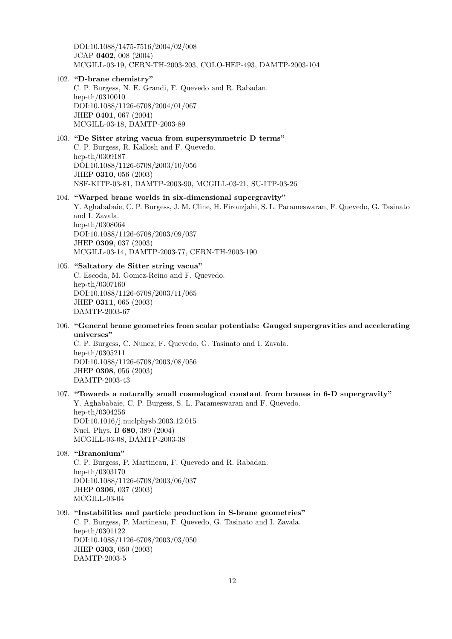DOI:10.1088/1475-7516/2004/02/008 JCAP 0402, 008 (2004) MCGILL-03-19, CERN-TH-2003-203, COLO-HEP-493, DAMTP-2003-104

#### 102. "D-brane chemistry"

C. P. Burgess, N. E. Grandi, F. Quevedo and R. Rabadan. hep-th/0310010 DOI:10.1088/1126-6708/2004/01/067 JHEP 0401, 067 (2004) MCGILL-03-18, DAMTP-2003-89

#### 103. "De Sitter string vacua from supersymmetric D terms"

C. P. Burgess, R. Kallosh and F. Quevedo. hep-th/0309187 DOI:10.1088/1126-6708/2003/10/056 JHEP 0310, 056 (2003) NSF-KITP-03-81, DAMTP-2003-90, MCGILL-03-21, SU-ITP-03-26

#### 104. "Warped brane worlds in six-dimensional supergravity"

Y. Aghababaie, C. P. Burgess, J. M. Cline, H. Firouzjahi, S. L. Parameswaran, F. Quevedo, G. Tasinato and I. Zavala. hep-th/0308064 DOI:10.1088/1126-6708/2003/09/037 JHEP 0309, 037 (2003) MCGILL-03-14, DAMTP-2003-77, CERN-TH-2003-190

#### 105. "Saltatory de Sitter string vacua"

C. Escoda, M. Gomez-Reino and F. Quevedo. hep-th/0307160 DOI:10.1088/1126-6708/2003/11/065 JHEP 0311, 065 (2003) DAMTP-2003-67

106. "General brane geometries from scalar potentials: Gauged supergravities and accelerating universes"

C. P. Burgess, C. Nunez, F. Quevedo, G. Tasinato and I. Zavala. hep-th/0305211 DOI:10.1088/1126-6708/2003/08/056 JHEP 0308, 056 (2003) DAMTP-2003-43

### 107. "Towards a naturally small cosmological constant from branes in 6-D supergravity" Y. Aghababaie, C. P. Burgess, S. L. Parameswaran and F. Quevedo.

hep-th/0304256 DOI:10.1016/j.nuclphysb.2003.12.015 Nucl. Phys. B 680, 389 (2004) MCGILL-03-08, DAMTP-2003-38

### 108. "Branonium"

C. P. Burgess, P. Martineau, F. Quevedo and R. Rabadan. hep-th/0303170 DOI:10.1088/1126-6708/2003/06/037 JHEP 0306, 037 (2003) MCGILL-03-04

## 109. "Instabilities and particle production in S-brane geometries"

C. P. Burgess, P. Martineau, F. Quevedo, G. Tasinato and I. Zavala. hep-th/0301122 DOI:10.1088/1126-6708/2003/03/050 JHEP 0303, 050 (2003) DAMTP-2003-5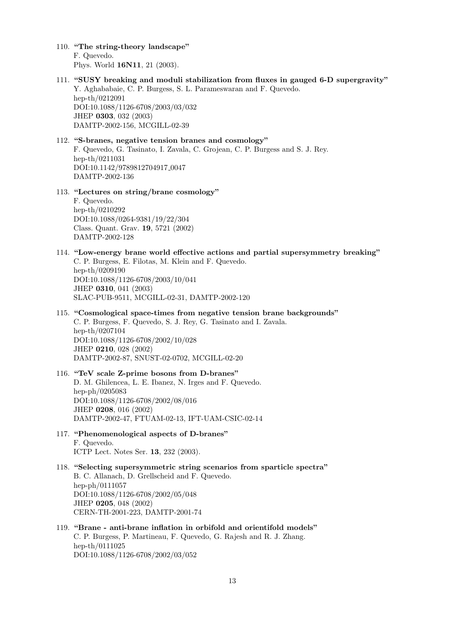- 110. "The string-theory landscape" F. Quevedo. Phys. World 16N11, 21 (2003).
- 111. "SUSY breaking and moduli stabilization from fluxes in gauged 6-D supergravity" Y. Aghababaie, C. P. Burgess, S. L. Parameswaran and F. Quevedo. hep-th/0212091 DOI:10.1088/1126-6708/2003/03/032 JHEP 0303, 032 (2003) DAMTP-2002-156, MCGILL-02-39

## 112. "S-branes, negative tension branes and cosmology" F. Quevedo, G. Tasinato, I. Zavala, C. Grojean, C. P. Burgess and S. J. Rey. hep-th/0211031 DOI:10.1142/9789812704917 0047 DAMTP-2002-136

113. "Lectures on string/brane cosmology"

F. Quevedo. hep-th/0210292 DOI:10.1088/0264-9381/19/22/304 Class. Quant. Grav. 19, 5721 (2002) DAMTP-2002-128

- 114. "Low-energy brane world effective actions and partial supersymmetry breaking" C. P. Burgess, E. Filotas, M. Klein and F. Quevedo. hep-th/0209190 DOI:10.1088/1126-6708/2003/10/041 JHEP 0310, 041 (2003) SLAC-PUB-9511, MCGILL-02-31, DAMTP-2002-120
- 115. "Cosmological space-times from negative tension brane backgrounds" C. P. Burgess, F. Quevedo, S. J. Rey, G. Tasinato and I. Zavala. hep-th/0207104 DOI:10.1088/1126-6708/2002/10/028 JHEP 0210, 028 (2002) DAMTP-2002-87, SNUST-02-0702, MCGILL-02-20
- 116. "TeV scale Z-prime bosons from D-branes" D. M. Ghilencea, L. E. Ibanez, N. Irges and F. Quevedo. hep-ph/0205083 DOI:10.1088/1126-6708/2002/08/016 JHEP 0208, 016 (2002) DAMTP-2002-47, FTUAM-02-13, IFT-UAM-CSIC-02-14
- 117. "Phenomenological aspects of D-branes" F. Quevedo. ICTP Lect. Notes Ser. 13, 232 (2003).
- 118. "Selecting supersymmetric string scenarios from sparticle spectra" B. C. Allanach, D. Grellscheid and F. Quevedo. hep-ph/0111057 DOI:10.1088/1126-6708/2002/05/048 JHEP 0205, 048 (2002) CERN-TH-2001-223, DAMTP-2001-74
- 119. "Brane anti-brane inflation in orbifold and orientifold models" C. P. Burgess, P. Martineau, F. Quevedo, G. Rajesh and R. J. Zhang. hep-th/0111025 DOI:10.1088/1126-6708/2002/03/052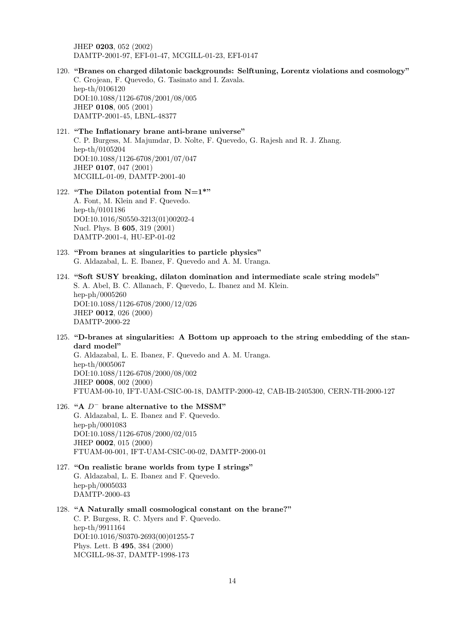JHEP 0203, 052 (2002) DAMTP-2001-97, EFI-01-47, MCGILL-01-23, EFI-0147

120. "Branes on charged dilatonic backgrounds: Selftuning, Lorentz violations and cosmology" C. Grojean, F. Quevedo, G. Tasinato and I. Zavala. hep-th/0106120 DOI:10.1088/1126-6708/2001/08/005 JHEP 0108, 005 (2001) DAMTP-2001-45, LBNL-48377

## 121. "The Inflationary brane anti-brane universe" C. P. Burgess, M. Majumdar, D. Nolte, F. Quevedo, G. Rajesh and R. J. Zhang. hep-th/0105204 DOI:10.1088/1126-6708/2001/07/047 JHEP 0107, 047 (2001) MCGILL-01-09, DAMTP-2001-40

#### 122. "The Dilaton potential from  $N=1$ \*"

A. Font, M. Klein and F. Quevedo. hep-th/0101186 DOI:10.1016/S0550-3213(01)00202-4 Nucl. Phys. B 605, 319 (2001) DAMTP-2001-4, HU-EP-01-02

- 123. "From branes at singularities to particle physics" G. Aldazabal, L. E. Ibanez, F. Quevedo and A. M. Uranga.
- 124. "Soft SUSY breaking, dilaton domination and intermediate scale string models" S. A. Abel, B. C. Allanach, F. Quevedo, L. Ibanez and M. Klein. hep-ph/0005260 DOI:10.1088/1126-6708/2000/12/026 JHEP 0012, 026 (2000) DAMTP-2000-22
- 125. "D-branes at singularities: A Bottom up approach to the string embedding of the standard model"

G. Aldazabal, L. E. Ibanez, F. Quevedo and A. M. Uranga. hep-th/0005067 DOI:10.1088/1126-6708/2000/08/002 JHEP 0008, 002 (2000) FTUAM-00-10, IFT-UAM-CSIC-00-18, DAMTP-2000-42, CAB-IB-2405300, CERN-TH-2000-127

- 126. "A D<sup>−</sup> brane alternative to the MSSM" G. Aldazabal, L. E. Ibanez and F. Quevedo. hep-ph/0001083 DOI:10.1088/1126-6708/2000/02/015 JHEP 0002, 015 (2000) FTUAM-00-001, IFT-UAM-CSIC-00-02, DAMTP-2000-01
- 127. "On realistic brane worlds from type I strings" G. Aldazabal, L. E. Ibanez and F. Quevedo. hep-ph/0005033 DAMTP-2000-43

## 128. "A Naturally small cosmological constant on the brane?" C. P. Burgess, R. C. Myers and F. Quevedo. hep-th/9911164 DOI:10.1016/S0370-2693(00)01255-7 Phys. Lett. B 495, 384 (2000) MCGILL-98-37, DAMTP-1998-173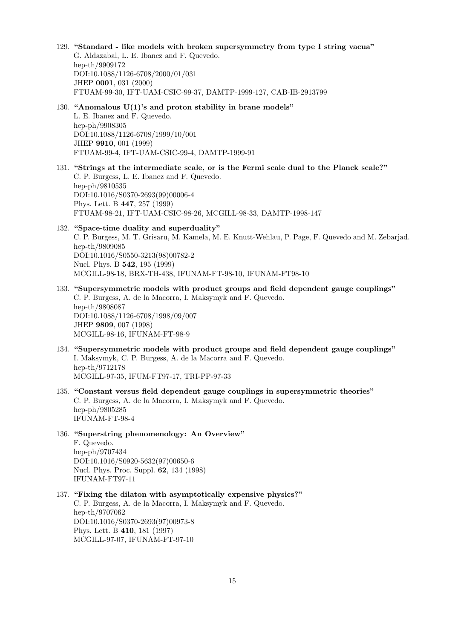129. "Standard - like models with broken supersymmetry from type I string vacua" G. Aldazabal, L. E. Ibanez and F. Quevedo. hep-th/9909172 DOI:10.1088/1126-6708/2000/01/031 JHEP 0001, 031 (2000) FTUAM-99-30, IFT-UAM-CSIC-99-37, DAMTP-1999-127, CAB-IB-2913799 130. "Anomalous  $U(1)$ 's and proton stability in brane models" L. E. Ibanez and F. Quevedo. hep-ph/9908305 DOI:10.1088/1126-6708/1999/10/001 JHEP 9910, 001 (1999) FTUAM-99-4, IFT-UAM-CSIC-99-4, DAMTP-1999-91 131. "Strings at the intermediate scale, or is the Fermi scale dual to the Planck scale?" C. P. Burgess, L. E. Ibanez and F. Quevedo. hep-ph/9810535 DOI:10.1016/S0370-2693(99)00006-4 Phys. Lett. B 447, 257 (1999) FTUAM-98-21, IFT-UAM-CSIC-98-26, MCGILL-98-33, DAMTP-1998-147 132. "Space-time duality and superduality" C. P. Burgess, M. T. Grisaru, M. Kamela, M. E. Knutt-Wehlau, P. Page, F. Quevedo and M. Zebarjad. hep-th/9809085 DOI:10.1016/S0550-3213(98)00782-2 Nucl. Phys. B 542, 195 (1999) MCGILL-98-18, BRX-TH-438, IFUNAM-FT-98-10, IFUNAM-FT98-10 133. "Supersymmetric models with product groups and field dependent gauge couplings" C. P. Burgess, A. de la Macorra, I. Maksymyk and F. Quevedo. hep-th/9808087 DOI:10.1088/1126-6708/1998/09/007 JHEP 9809, 007 (1998) MCGILL-98-16, IFUNAM-FT-98-9 134. "Supersymmetric models with product groups and field dependent gauge couplings" I. Maksymyk, C. P. Burgess, A. de la Macorra and F. Quevedo. hep-th/9712178 MCGILL-97-35, IFUM-FT97-17, TRI-PP-97-33 135. "Constant versus field dependent gauge couplings in supersymmetric theories" C. P. Burgess, A. de la Macorra, I. Maksymyk and F. Quevedo. hep-ph/9805285 IFUNAM-FT-98-4 136. "Superstring phenomenology: An Overview" F. Quevedo. hep-ph/9707434 DOI:10.1016/S0920-5632(97)00650-6 Nucl. Phys. Proc. Suppl. 62, 134 (1998) IFUNAM-FT97-11 137. "Fixing the dilaton with asymptotically expensive physics?" C. P. Burgess, A. de la Macorra, I. Maksymyk and F. Quevedo. hep-th/9707062 DOI:10.1016/S0370-2693(97)00973-8 Phys. Lett. B 410, 181 (1997) MCGILL-97-07, IFUNAM-FT-97-10 15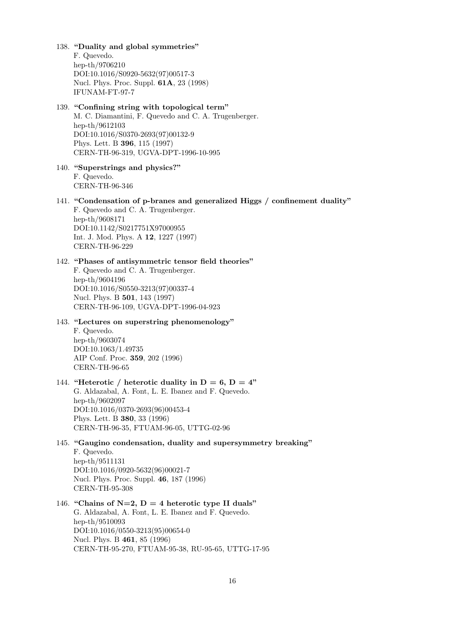F. Quevedo. hep-th/9706210 DOI:10.1016/S0920-5632(97)00517-3 Nucl. Phys. Proc. Suppl. 61A, 23 (1998) IFUNAM-FT-97-7 139. "Confining string with topological term" M. C. Diamantini, F. Quevedo and C. A. Trugenberger. hep-th/9612103 DOI:10.1016/S0370-2693(97)00132-9 Phys. Lett. B 396, 115 (1997) CERN-TH-96-319, UGVA-DPT-1996-10-995 140. "Superstrings and physics?" F. Quevedo. CERN-TH-96-346 141. "Condensation of p-branes and generalized Higgs / confinement duality" F. Quevedo and C. A. Trugenberger. hep-th/9608171 DOI:10.1142/S0217751X97000955 Int. J. Mod. Phys. A 12, 1227 (1997) CERN-TH-96-229 142. "Phases of antisymmetric tensor field theories" F. Quevedo and C. A. Trugenberger. hep-th/9604196 DOI:10.1016/S0550-3213(97)00337-4 Nucl. Phys. B 501, 143 (1997) CERN-TH-96-109, UGVA-DPT-1996-04-923 143. "Lectures on superstring phenomenology" F. Quevedo. hep-th/9603074 DOI:10.1063/1.49735 AIP Conf. Proc. 359, 202 (1996) CERN-TH-96-65 144. "Heterotic / heterotic duality in  $D = 6$ ,  $D = 4$ " G. Aldazabal, A. Font, L. E. Ibanez and F. Quevedo. hep-th/9602097 DOI:10.1016/0370-2693(96)00453-4 Phys. Lett. B 380, 33 (1996) CERN-TH-96-35, FTUAM-96-05, UTTG-02-96 145. "Gaugino condensation, duality and supersymmetry breaking" F. Quevedo. hep-th/9511131 DOI:10.1016/0920-5632(96)00021-7 Nucl. Phys. Proc. Suppl. 46, 187 (1996) CERN-TH-95-308 146. "Chains of N=2,  $D = 4$  heterotic type II duals" G. Aldazabal, A. Font, L. E. Ibanez and F. Quevedo. hep-th/9510093 DOI:10.1016/0550-3213(95)00654-0 Nucl. Phys. B 461, 85 (1996) CERN-TH-95-270, FTUAM-95-38, RU-95-65, UTTG-17-95 16

138. "Duality and global symmetries"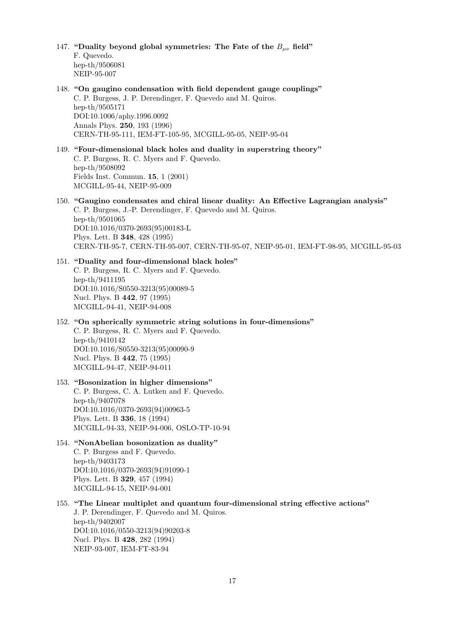- 147. "Duality beyond global symmetries: The Fate of the  $B_{\mu\nu}$  field" F. Quevedo. hep-th/9506081 NEIP-95-007
- 148. "On gaugino condensation with field dependent gauge couplings" C. P. Burgess, J. P. Derendinger, F. Quevedo and M. Quiros. hep-th/9505171 DOI:10.1006/aphy.1996.0092 Annals Phys. 250, 193 (1996) CERN-TH-95-111, IEM-FT-105-95, MCGILL-95-05, NEIP-95-04
- 149. "Four-dimensional black holes and duality in superstring theory" C. P. Burgess, R. C. Myers and F. Quevedo. hep-th/9508092 Fields Inst. Commun. 15, 1 (2001) MCGILL-95-44, NEIP-95-009
- 150. "Gaugino condensates and chiral linear duality: An Effective Lagrangian analysis" C. P. Burgess, J.-P. Derendinger, F. Quevedo and M. Quiros. hep-th/9501065 DOI:10.1016/0370-2693(95)00183-L Phys. Lett. B 348, 428 (1995) CERN-TH-95-7, CERN-TH-95-007, CERN-TH-95-07, NEIP-95-01, IEM-FT-98-95, MCGILL-95-03

151. "Duality and four-dimensional black holes" C. P. Burgess, R. C. Myers and F. Quevedo. hep-th/9411195 DOI:10.1016/S0550-3213(95)00089-5 Nucl. Phys. B 442, 97 (1995) MCGILL-94-41, NEIP-94-008

- 152. "On spherically symmetric string solutions in four-dimensions" C. P. Burgess, R. C. Myers and F. Quevedo. hep-th/9410142 DOI:10.1016/S0550-3213(95)00090-9 Nucl. Phys. B 442, 75 (1995) MCGILL-94-47, NEIP-94-011
- 153. "Bosonization in higher dimensions" C. P. Burgess, C. A. Lutken and F. Quevedo. hep-th/9407078 DOI:10.1016/0370-2693(94)00963-5 Phys. Lett. B 336, 18 (1994) MCGILL-94-33, NEIP-94-006, OSLO-TP-10-94
- 154. "NonAbelian bosonization as duality" C. P. Burgess and F. Quevedo. hep-th/9403173 DOI:10.1016/0370-2693(94)91090-1 Phys. Lett. B 329, 457 (1994) MCGILL-94-15, NEIP-94-001
- 155. "The Linear multiplet and quantum four-dimensional string effective actions" J. P. Derendinger, F. Quevedo and M. Quiros. hep-th/9402007 DOI:10.1016/0550-3213(94)90203-8 Nucl. Phys. B 428, 282 (1994) NEIP-93-007, IEM-FT-83-94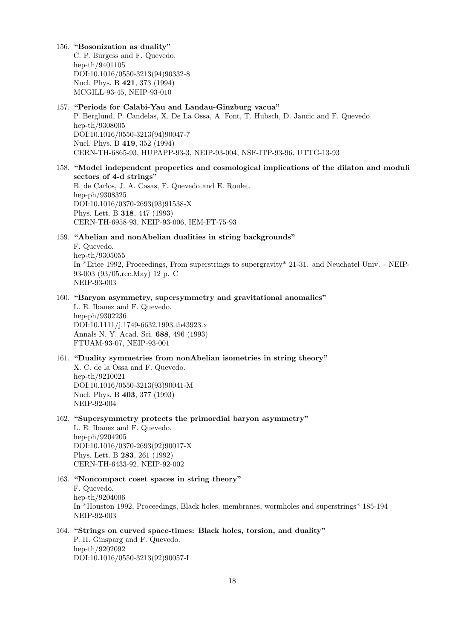156. "Bosonization as duality"

C. P. Burgess and F. Quevedo. hep-th/9401105 DOI:10.1016/0550-3213(94)90332-8 Nucl. Phys. B 421, 373 (1994) MCGILL-93-45, NEIP-93-010

#### 157. "Periods for Calabi-Yau and Landau-Ginzburg vacua"

P. Berglund, P. Candelas, X. De La Ossa, A. Font, T. Hubsch, D. Jancic and F. Quevedo. hep-th/9308005 DOI:10.1016/0550-3213(94)90047-7 Nucl. Phys. B 419, 352 (1994) CERN-TH-6865-93, HUPAPP-93-3, NEIP-93-004, NSF-ITP-93-96, UTTG-13-93

## 158. "Model independent properties and cosmological implications of the dilaton and moduli sectors of 4-d strings"

B. de Carlos, J. A. Casas, F. Quevedo and E. Roulet. hep-ph/9308325 DOI:10.1016/0370-2693(93)91538-X Phys. Lett. B 318, 447 (1993) CERN-TH-6958-93, NEIP-93-006, IEM-FT-75-93

#### 159. "Abelian and nonAbelian dualities in string backgrounds"

F. Quevedo. hep-th/9305055

In \*Erice 1992, Proceedings, From superstrings to supergravity\* 21-31. and Neuchatel Univ. - NEIP-93-003 (93/05,rec.May) 12 p. C NEIP-93-003

#### 160. "Baryon asymmetry, supersymmetry and gravitational anomalies"

L. E. Ibanez and F. Quevedo. hep-ph/9302236 DOI:10.1111/j.1749-6632.1993.tb43923.x Annals N. Y. Acad. Sci. 688, 496 (1993) FTUAM-93-07, NEIP-93-001

### 161. "Duality symmetries from nonAbelian isometries in string theory" X. C. de la Ossa and F. Quevedo. hep-th/9210021 DOI:10.1016/0550-3213(93)90041-M Nucl. Phys. B 403, 377 (1993) NEIP-92-004

## 162. "Supersymmetry protects the primordial baryon asymmetry"

L. E. Ibanez and F. Quevedo. hep-ph/9204205 DOI:10.1016/0370-2693(92)90017-X Phys. Lett. B 283, 261 (1992) CERN-TH-6433-92, NEIP-92-002

#### 163. "Noncompact coset spaces in string theory" F. Quevedo. hep-th/9204006 In \*Houston 1992, Proceedings, Black holes, membranes, wormholes and superstrings\* 185-194 NEIP-92-003

164. "Strings on curved space-times: Black holes, torsion, and duality" P. H. Ginsparg and F. Quevedo. hep-th/9202092 DOI:10.1016/0550-3213(92)90057-I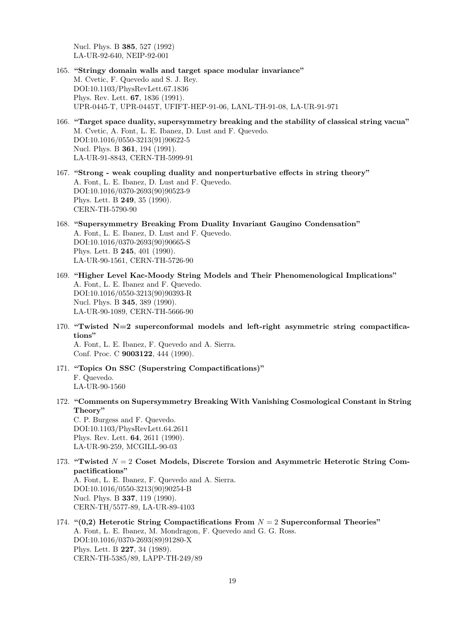Nucl. Phys. B 385, 527 (1992) LA-UR-92-640, NEIP-92-001

- 165. "Stringy domain walls and target space modular invariance" M. Cvetic, F. Quevedo and S. J. Rey. DOI:10.1103/PhysRevLett.67.1836 Phys. Rev. Lett. 67, 1836 (1991). UPR-0445-T, UPR-0445T, UFIFT-HEP-91-06, LANL-TH-91-08, LA-UR-91-971
- 166. "Target space duality, supersymmetry breaking and the stability of classical string vacua" M. Cvetic, A. Font, L. E. Ibanez, D. Lust and F. Quevedo. DOI:10.1016/0550-3213(91)90622-5 Nucl. Phys. B 361, 194 (1991). LA-UR-91-8843, CERN-TH-5999-91
- 167. "Strong weak coupling duality and nonperturbative effects in string theory" A. Font, L. E. Ibanez, D. Lust and F. Quevedo. DOI:10.1016/0370-2693(90)90523-9 Phys. Lett. B 249, 35 (1990). CERN-TH-5790-90
- 168. "Supersymmetry Breaking From Duality Invariant Gaugino Condensation" A. Font, L. E. Ibanez, D. Lust and F. Quevedo. DOI:10.1016/0370-2693(90)90665-S Phys. Lett. B 245, 401 (1990). LA-UR-90-1561, CERN-TH-5726-90
- 169. "Higher Level Kac-Moody String Models and Their Phenomenological Implications" A. Font, L. E. Ibanez and F. Quevedo. DOI:10.1016/0550-3213(90)90393-R Nucl. Phys. B 345, 389 (1990). LA-UR-90-1089, CERN-TH-5666-90
- 170. "Twisted N=2 superconformal models and left-right asymmetric string compactifications" A. Font, L. E. Ibanez, F. Quevedo and A. Sierra. Conf. Proc. C 9003122, 444 (1990).
- 171. "Topics On SSC (Superstring Compactifications)" F. Quevedo. LA-UR-90-1560
- 172. "Comments on Supersymmetry Breaking With Vanishing Cosmological Constant in String Theory" C. P. Burgess and F. Quevedo.

DOI:10.1103/PhysRevLett.64.2611 Phys. Rev. Lett. 64, 2611 (1990). LA-UR-90-259, MCGILL-90-03

173. "Twisted  $N = 2$  Coset Models, Discrete Torsion and Asymmetric Heterotic String Compactifications"

A. Font, L. E. Ibanez, F. Quevedo and A. Sierra. DOI:10.1016/0550-3213(90)90254-B Nucl. Phys. B 337, 119 (1990). CERN-TH/5577-89, LA-UR-89-4103

174. " $(0,2)$  Heterotic String Compactifications From  $N = 2$  Superconformal Theories" A. Font, L. E. Ibanez, M. Mondragon, F. Quevedo and G. G. Ross. DOI:10.1016/0370-2693(89)91280-X Phys. Lett. B 227, 34 (1989). CERN-TH-5385/89, LAPP-TH-249/89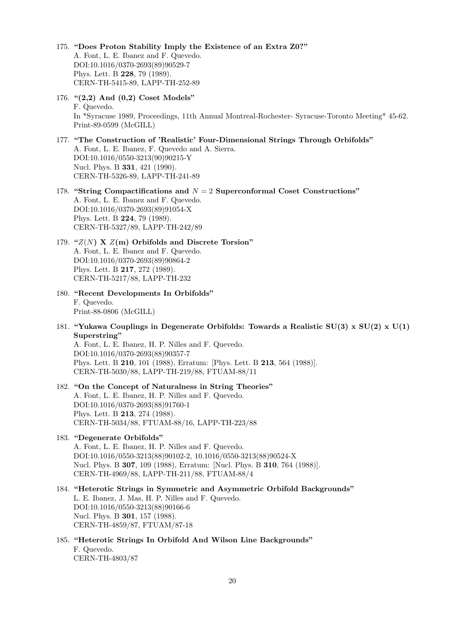- 175. "Does Proton Stability Imply the Existence of an Extra Z0?" A. Font, L. E. Ibanez and F. Quevedo. DOI:10.1016/0370-2693(89)90529-7 Phys. Lett. B 228, 79 (1989). CERN-TH-5415-89, LAPP-TH-252-89
- 176. "(2,2) And (0,2) Coset Models" F. Quevedo. In \*Syracuse 1989, Proceedings, 11th Annual Montreal-Rochester- Syracuse-Toronto Meeting\* 45-62. Print-89-0599 (McGILL)
- 177. "The Construction of 'Realistic' Four-Dimensional Strings Through Orbifolds" A. Font, L. E. Ibanez, F. Quevedo and A. Sierra. DOI:10.1016/0550-3213(90)90215-Y Nucl. Phys. B 331, 421 (1990). CERN-TH-5326-89, LAPP-TH-241-89
- 178. "String Compactifications and  $N = 2$  Superconformal Coset Constructions" A. Font, L. E. Ibanez and F. Quevedo. DOI:10.1016/0370-2693(89)91054-X Phys. Lett. B 224, 79 (1989). CERN-TH-5327/89, LAPP-TH-242/89
- 179. " $Z(N)$  X  $Z(m)$  Orbifolds and Discrete Torsion" A. Font, L. E. Ibanez and F. Quevedo. DOI:10.1016/0370-2693(89)90864-2 Phys. Lett. B 217, 272 (1989). CERN-TH-5217/88, LAPP-TH-232
- 180. "Recent Developments In Orbifolds" F. Quevedo. Print-88-0806 (McGILL)
- 181. "Yukawa Couplings in Degenerate Orbifolds: Towards a Realistic SU(3) x SU(2) x U(1) Superstring"

A. Font, L. E. Ibanez, H. P. Nilles and F. Quevedo. DOI:10.1016/0370-2693(88)90357-7 Phys. Lett. B 210, 101 (1988), Erratum: [Phys. Lett. B 213, 564 (1988)]. CERN-TH-5030/88, LAPP-TH-219/88, FTUAM-88/11

- 182. "On the Concept of Naturalness in String Theories" A. Font, L. E. Ibanez, H. P. Nilles and F. Quevedo. DOI:10.1016/0370-2693(88)91760-1 Phys. Lett. B 213, 274 (1988). CERN-TH-5034/88, FTUAM-88/16, LAPP-TH-223/88
- 183. "Degenerate Orbifolds" A. Font, L. E. Ibanez, H. P. Nilles and F. Quevedo. DOI:10.1016/0550-3213(88)90102-2, 10.1016/0550-3213(88)90524-X Nucl. Phys. B 307, 109 (1988), Erratum: [Nucl. Phys. B 310, 764 (1988)]. CERN-TH-4969/88, LAPP-TH-211/88, FTUAM-88/4
- 184. "Heterotic Strings in Symmetric and Asymmetric Orbifold Backgrounds" L. E. Ibanez, J. Mas, H. P. Nilles and F. Quevedo. DOI:10.1016/0550-3213(88)90166-6 Nucl. Phys. B 301, 157 (1988). CERN-TH-4859/87, FTUAM/87-18
- 185. "Heterotic Strings In Orbifold And Wilson Line Backgrounds" F. Quevedo. CERN-TH-4803/87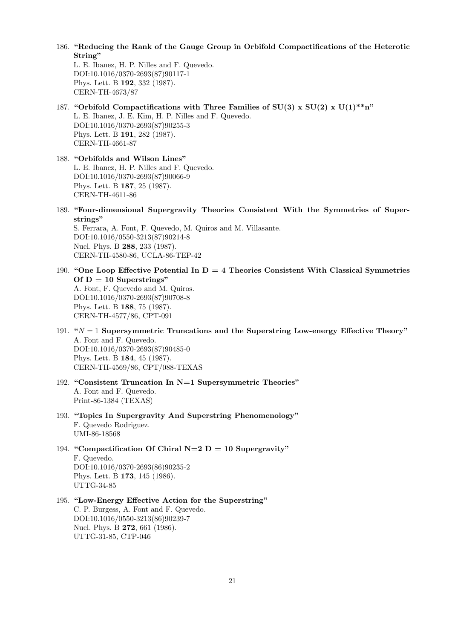186. "Reducing the Rank of the Gauge Group in Orbifold Compactifications of the Heterotic String"

L. E. Ibanez, H. P. Nilles and F. Quevedo. DOI:10.1016/0370-2693(87)90117-1 Phys. Lett. B 192, 332 (1987). CERN-TH-4673/87

- 187. "Orbifold Compactifications with Three Families of SU(3) x SU(2) x U(1)\*\*n" L. E. Ibanez, J. E. Kim, H. P. Nilles and F. Quevedo. DOI:10.1016/0370-2693(87)90255-3 Phys. Lett. B 191, 282 (1987). CERN-TH-4661-87
- 188. "Orbifolds and Wilson Lines" L. E. Ibanez, H. P. Nilles and F. Quevedo. DOI:10.1016/0370-2693(87)90066-9 Phys. Lett. B 187, 25 (1987). CERN-TH-4611-86
- 189. "Four-dimensional Supergravity Theories Consistent With the Symmetries of Superstrings"

S. Ferrara, A. Font, F. Quevedo, M. Quiros and M. Villasante. DOI:10.1016/0550-3213(87)90214-8 Nucl. Phys. B 288, 233 (1987). CERN-TH-4580-86, UCLA-86-TEP-42

- 190. "One Loop Effective Potential In  $D = 4$  Theories Consistent With Classical Symmetries Of  $D = 10$  Superstrings" A. Font, F. Quevedo and M. Quiros. DOI:10.1016/0370-2693(87)90708-8 Phys. Lett. B 188, 75 (1987). CERN-TH-4577/86, CPT-091
- 191. " $N = 1$  Supersymmetric Truncations and the Superstring Low-energy Effective Theory" A. Font and F. Quevedo. DOI:10.1016/0370-2693(87)90485-0 Phys. Lett. B 184, 45 (1987). CERN-TH-4569/86, CPT/088-TEXAS
- 192. "Consistent Truncation In N=1 Supersymmetric Theories" A. Font and F. Quevedo. Print-86-1384 (TEXAS)
- 193. "Topics In Supergravity And Superstring Phenomenology" F. Quevedo Rodriguez. UMI-86-18568
- 194. "Compactification Of Chiral N=2  $D = 10$  Supergravity" F. Quevedo. DOI:10.1016/0370-2693(86)90235-2 Phys. Lett. B 173, 145 (1986). UTTG-34-85
- 195. "Low-Energy Effective Action for the Superstring" C. P. Burgess, A. Font and F. Quevedo. DOI:10.1016/0550-3213(86)90239-7 Nucl. Phys. B 272, 661 (1986). UTTG-31-85, CTP-046